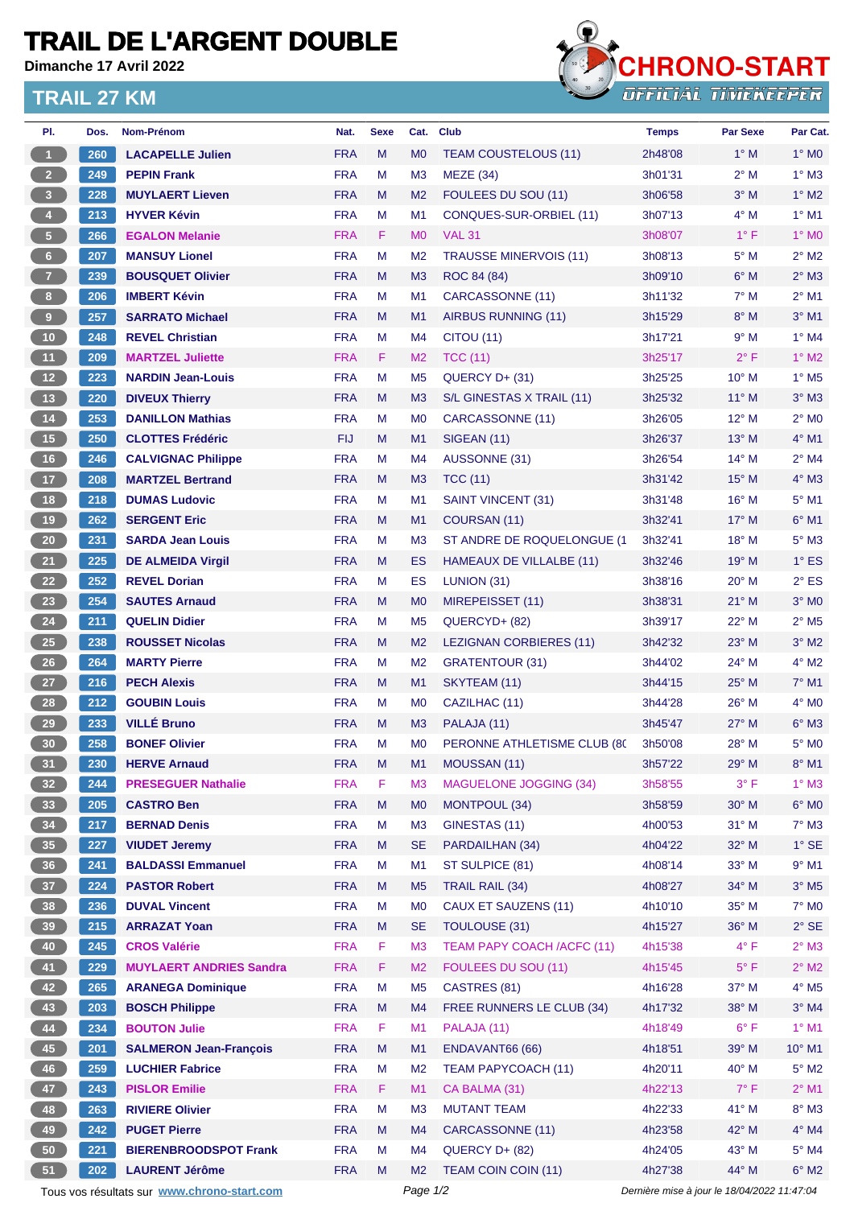## **TRAIL DE L'ARGENT DOUBLE**

**Dimanche 17 Avril 2022**

## **TRAIL 27 KM**



| PI.                     | Dos.                                        | Nom-Prénom                     | Nat.       | <b>Sexe</b> | Cat.           | <b>Club</b>                   | <b>Temps</b>                                | <b>Par Sexe</b> | Par Cat.                   |  |
|-------------------------|---------------------------------------------|--------------------------------|------------|-------------|----------------|-------------------------------|---------------------------------------------|-----------------|----------------------------|--|
| $\overline{1}$          | 260                                         | <b>LACAPELLE Julien</b>        | <b>FRA</b> | M           | M <sub>0</sub> | <b>TEAM COUSTELOUS (11)</b>   | 2h48'08                                     | $1^\circ$ M     | $1^\circ$ MO               |  |
| $\overline{2}$          | 249                                         | <b>PEPIN Frank</b>             | <b>FRA</b> | M           | M <sub>3</sub> | MEZE (34)                     | 3h01'31                                     | $2^{\circ}$ M   | $1^\circ$ M3               |  |
| $\overline{\mathbf{3}}$ | 228                                         | <b>MUYLAERT Lieven</b>         | <b>FRA</b> | M           | M <sub>2</sub> | FOULEES DU SOU (11)           | 3h06'58                                     | $3^\circ$ M     | $1^\circ$ M2               |  |
| $\overline{\mathbf{4}}$ | 213                                         | <b>HYVER Kévin</b>             | <b>FRA</b> | M           | M1             | CONQUES-SUR-ORBIEL (11)       | 3h07'13                                     | $4^\circ$ M     | $1^\circ$ M1               |  |
| $\sqrt{5}$              | 266                                         | <b>EGALON Melanie</b>          | <b>FRA</b> | F.          | M <sub>0</sub> | <b>VAL 31</b>                 | 3h08'07                                     | $1^{\circ}$ F   | $1^\circ$ MO               |  |
| $6\phantom{.}6$         | 207                                         | <b>MANSUY Lionel</b>           | <b>FRA</b> | M           | M <sub>2</sub> | <b>TRAUSSE MINERVOIS (11)</b> | 3h08'13                                     | $5^\circ$ M     | $2^{\circ}$ M2             |  |
| $\overline{7}$          | 239                                         | <b>BOUSQUET Olivier</b>        | <b>FRA</b> | M           | M <sub>3</sub> | ROC 84 (84)                   | 3h09'10                                     | $6^\circ$ M     | $2^{\circ}$ M3             |  |
| 8 <sup>1</sup>          | 206                                         | <b>IMBERT Kévin</b>            | <b>FRA</b> | M           | M <sub>1</sub> | CARCASSONNE (11)              | 3h11'32                                     | $7^\circ$ M     | $2^{\circ}$ M1             |  |
| $\overline{9}$          | 257                                         | <b>SARRATO Michael</b>         | <b>FRA</b> | M           | M <sub>1</sub> | <b>AIRBUS RUNNING (11)</b>    | 3h15'29                                     | $8^\circ$ M     | $3°$ M1                    |  |
| 10                      | 248                                         | <b>REVEL Christian</b>         | <b>FRA</b> | М           | M4             | CITOU (11)                    | 3h17'21                                     | $9^{\circ}$ M   | $1^\circ$ M4               |  |
| 11                      | 209                                         | <b>MARTZEL Juliette</b>        | <b>FRA</b> | F           | M <sub>2</sub> | <b>TCC (11)</b>               | 3h25'17                                     | $2^{\circ}$ F   | $1^\circ$ M2               |  |
| 12                      | 223                                         | <b>NARDIN Jean-Louis</b>       | <b>FRA</b> | M           | M <sub>5</sub> | QUERCY D+ (31)                | 3h25'25                                     | $10^{\circ}$ M  | $1^\circ$ M <sub>5</sub>   |  |
| 13                      | 220                                         | <b>DIVEUX Thierry</b>          | <b>FRA</b> | M           | M <sub>3</sub> | S/L GINESTAS X TRAIL (11)     | 3h25'32                                     | $11^{\circ}$ M  | $3°$ M $3$                 |  |
| 14                      | 253                                         | <b>DANILLON Mathias</b>        | <b>FRA</b> | М           | M <sub>0</sub> | CARCASSONNE (11)              | 3h26'05                                     | 12° M           | $2^{\circ}$ MO             |  |
| 15                      | 250                                         | <b>CLOTTES Frédéric</b>        | <b>FIJ</b> | M           | M <sub>1</sub> | <b>SIGEAN (11)</b>            | 3h26'37                                     | $13^{\circ}$ M  | $4^\circ$ M1               |  |
| 16                      | 246                                         | <b>CALVIGNAC Philippe</b>      | <b>FRA</b> | M           | M <sub>4</sub> | AUSSONNE (31)                 | 3h26'54                                     | $14^{\circ}$ M  | $2^{\circ}$ M4             |  |
| 17                      | 208                                         | <b>MARTZEL Bertrand</b>        | <b>FRA</b> | M           | M <sub>3</sub> | <b>TCC (11)</b>               | 3h31'42                                     | $15^{\circ}$ M  | $4^\circ$ M3               |  |
| 18                      | 218                                         | <b>DUMAS Ludovic</b>           | <b>FRA</b> | M           | M <sub>1</sub> | SAINT VINCENT (31)            | 3h31'48                                     | 16° M           | $5^{\circ}$ M1             |  |
| 19                      | 262                                         | <b>SERGENT Eric</b>            | <b>FRA</b> | M           | M <sub>1</sub> | COURSAN (11)                  | 3h32'41                                     | $17^{\circ}$ M  | $6°$ M1                    |  |
| 20                      | 231                                         | <b>SARDA Jean Louis</b>        | <b>FRA</b> | M           | M <sub>3</sub> | ST ANDRE DE ROQUELONGUE (1    | 3h32'41                                     | 18° M           | $5^\circ$ M3               |  |
| 21                      | 225                                         | <b>DE ALMEIDA Virgil</b>       | <b>FRA</b> | M           | ES             | HAMEAUX DE VILLALBE (11)      | 3h32'46                                     | $19°$ M         | $1^\circ$ ES               |  |
| 22                      | 252                                         | <b>REVEL Dorian</b>            | <b>FRA</b> | M           | ES             | LUNION (31)                   | 3h38'16                                     | 20° M           | $2^{\circ}$ ES             |  |
| 23                      | 254                                         | <b>SAUTES Arnaud</b>           | <b>FRA</b> | M           | M <sub>0</sub> | MIREPEISSET (11)              | 3h38'31                                     | $21^{\circ}$ M  | $3°$ MO                    |  |
| 24                      | 211                                         | <b>QUELIN Didier</b>           | <b>FRA</b> | м           | M <sub>5</sub> | QUERCYD+ (82)                 | 3h39'17                                     | 22° M           | $2^{\circ}$ M <sub>5</sub> |  |
| 25                      | 238                                         | <b>ROUSSET Nicolas</b>         | <b>FRA</b> | M           | M <sub>2</sub> | LEZIGNAN CORBIERES (11)       | 3h42'32                                     | 23° M           | $3°$ M2                    |  |
| 26                      | 264                                         | <b>MARTY Pierre</b>            | <b>FRA</b> | M           | M <sub>2</sub> | <b>GRATENTOUR (31)</b>        | 3h44'02                                     | $24^{\circ}$ M  | $4^\circ$ M2               |  |
| 27                      | 216                                         | <b>PECH Alexis</b>             | <b>FRA</b> | M           | M1             | SKYTEAM (11)                  | 3h44'15                                     | 25° M           | $7°$ M1                    |  |
| 28                      | 212                                         | <b>GOUBIN Louis</b>            | <b>FRA</b> | M           | M <sub>0</sub> | CAZILHAC (11)                 | 3h44'28                                     | $26^{\circ}$ M  | $4^\circ$ MO               |  |
| 29                      | 233                                         | <b>VILLÉ Bruno</b>             | <b>FRA</b> | M           | M <sub>3</sub> | PALAJA (11)                   | 3h45'47                                     | $27^\circ$ M    | $6^\circ$ M3               |  |
| 30 <sub>o</sub>         | 258                                         | <b>BONEF Olivier</b>           | <b>FRA</b> | М           | M <sub>0</sub> | PERONNE ATHLETISME CLUB (80   | 3h50'08                                     | 28° M           | 5° M <sub>0</sub>          |  |
| 31                      | 230                                         | <b>HERVE Arnaud</b>            | <b>FRA</b> | M           | M <sub>1</sub> | MOUSSAN (11)                  | 3h57'22                                     | 29° M           | $8^\circ$ M1               |  |
| 32                      | 244                                         | <b>PRESEGUER Nathalie</b>      | <b>FRA</b> | F           | M <sub>3</sub> | <b>MAGUELONE JOGGING (34)</b> | 3h58'55                                     | $3^{\circ}$ F   | $1^\circ$ M3               |  |
| 33                      | 205                                         | <b>CASTRO Ben</b>              | <b>FRA</b> | M           | M <sub>0</sub> | MONTPOUL (34)                 | 3h58'59                                     | $30^\circ$ M    | $6^\circ$ MO               |  |
| 34                      | 217                                         | <b>BERNAD Denis</b>            | <b>FRA</b> | M           | M <sub>3</sub> | GINESTAS (11)                 | 4h00'53                                     | 31° M           | $7^\circ$ M3               |  |
| 35                      | 227                                         | <b>VIUDET Jeremy</b>           | <b>FRA</b> | M           | <b>SE</b>      | PARDAILHAN (34)               | 4h04'22                                     | 32° M           | $1^\circ$ SE               |  |
| 36                      | 241                                         | <b>BALDASSI Emmanuel</b>       | <b>FRA</b> | M           | M1             | ST SULPICE (81)               | 4h08'14                                     | 33° M           | $9°$ M1                    |  |
| 37 <sup>°</sup>         | 224                                         | <b>PASTOR Robert</b>           | <b>FRA</b> | M           | M <sub>5</sub> | <b>TRAIL RAIL (34)</b>        | 4h08'27                                     | 34° M           | $3^\circ$ M <sub>5</sub>   |  |
| 38                      | 236                                         | <b>DUVAL Vincent</b>           | <b>FRA</b> | M           | M <sub>0</sub> | CAUX ET SAUZENS (11)          | 4h10'10                                     | 35° M           | $7^\circ$ MO               |  |
| 39                      | 215                                         | <b>ARRAZAT Yoan</b>            | <b>FRA</b> | M           | <b>SE</b>      | <b>TOULOUSE (31)</b>          | 4h15'27                                     | 36° M           | $2^{\circ}$ SE             |  |
| 40                      | 245                                         | <b>CROS Valérie</b>            | <b>FRA</b> | F           | M <sub>3</sub> | TEAM PAPY COACH /ACFC (11)    | 4h15'38                                     | $4^{\circ}$ F   | $2^\circ$ M3               |  |
| 41                      | 229                                         | <b>MUYLAERT ANDRIES Sandra</b> | <b>FRA</b> | F           | M <sub>2</sub> | FOULEES DU SOU (11)           | 4h15'45                                     | $5^{\circ}$ F   | $2^{\circ}$ M2             |  |
| 42                      | 265                                         | <b>ARANEGA Dominique</b>       | <b>FRA</b> | M           | M <sub>5</sub> | CASTRES (81)                  | 4h16'28                                     | 37° M           | $4^\circ$ M5               |  |
| 43                      | 203                                         | <b>BOSCH Philippe</b>          | <b>FRA</b> | Μ           | M4             | FREE RUNNERS LE CLUB (34)     | 4h17'32                                     | 38° M           | $3°$ M4                    |  |
| 44                      | 234                                         | <b>BOUTON Julie</b>            | <b>FRA</b> | F           | M1             | PALAJA (11)                   | 4h18'49                                     | $6^{\circ}$ F   | $1^\circ$ M1               |  |
| 45                      | 201                                         | <b>SALMERON Jean-François</b>  | <b>FRA</b> | M           | M <sub>1</sub> | ENDAVANT66 (66)               | 4h18'51                                     | 39° M           | $10^{\circ}$ M1            |  |
| 46                      | 259                                         | <b>LUCHIER Fabrice</b>         | <b>FRA</b> | М           | M <sub>2</sub> | <b>TEAM PAPYCOACH (11)</b>    | 4h20'11                                     | 40° M           | $5^\circ$ M2               |  |
| 47                      | 243                                         | <b>PISLOR Emilie</b>           | <b>FRA</b> | F           | M1             | CA BALMA (31)                 | 4h22'13                                     | $7^\circ$ F     | $2^{\circ}$ M1             |  |
| 48                      | 263                                         | <b>RIVIERE Olivier</b>         | <b>FRA</b> | M           | M <sub>3</sub> | <b>MUTANT TEAM</b>            | 4h22'33                                     | 41° M           | $8^\circ$ M3               |  |
| 49                      | 242                                         | <b>PUGET Pierre</b>            | <b>FRA</b> | M           | M4             | CARCASSONNE (11)              | 4h23'58                                     | 42° M           | $4^\circ$ M4               |  |
| 50                      | 221                                         | <b>BIERENBROODSPOT Frank</b>   | <b>FRA</b> | M           | M4             | QUERCY D+ (82)                | 4h24'05                                     | $43^\circ$ M    | $5^\circ$ M4               |  |
| 51                      | 202                                         | <b>LAURENT Jérôme</b>          | <b>FRA</b> | M           | M <sub>2</sub> | <b>TEAM COIN COIN (11)</b>    | 4h27'38                                     | 44° M           | $6^\circ$ M2               |  |
|                         | Tous vos résultats sur www.chrono-start.com |                                |            |             | Page 1/2       |                               | Dernière mise à jour le 18/04/2022 11:47:04 |                 |                            |  |